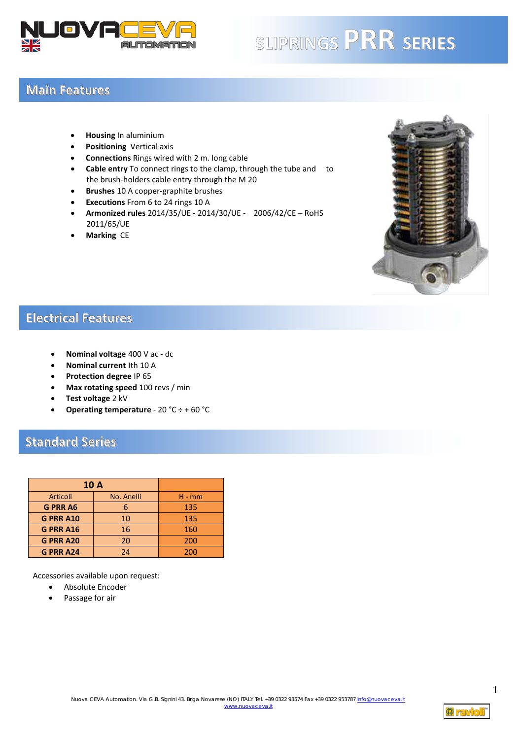

# **SLIPRINGS PRR SERIES**

#### **Main Features**

- **Housing** In aluminium
- **Positioning** Vertical axis
- **Connections** Rings wired with 2 m. long cable
- **Cable entry** To connect rings to the clamp, through the tube and to the brush-holders cable entry through the M 20
- **Brushes** 10 A copper-graphite brushes
- **Executions** From 6 to 24 rings 10 A
- **Armonized rules** 2014/35/UE 2014/30/UE 2006/42/CE RoHS 2011/65/UE
- **Marking** CE



#### **Electrical Features**

- **Nominal voltage** 400 V ac dc
- **Nominal current** Ith 10 A
- **Protection degree** IP 65
- **Max rotating speed** 100 revs / min
- **Test voltage** 2 kV
- **Operating temperature** 20 °C ÷ + 60 °C

### **Standard Series**

| <b>10 A</b>      |            |          |
|------------------|------------|----------|
| Articoli         | No. Anelli | $H - mm$ |
| <b>G PRR A6</b>  |            | 135      |
| <b>G PRR A10</b> | 10         | 135      |
| <b>G PRR A16</b> | 16         | 160      |
| <b>G PRR A20</b> | 20         | 200      |
| <b>G PRR A24</b> | 24         | 200      |

Accessories available upon request:

- Absolute Encoder
- Passage for air